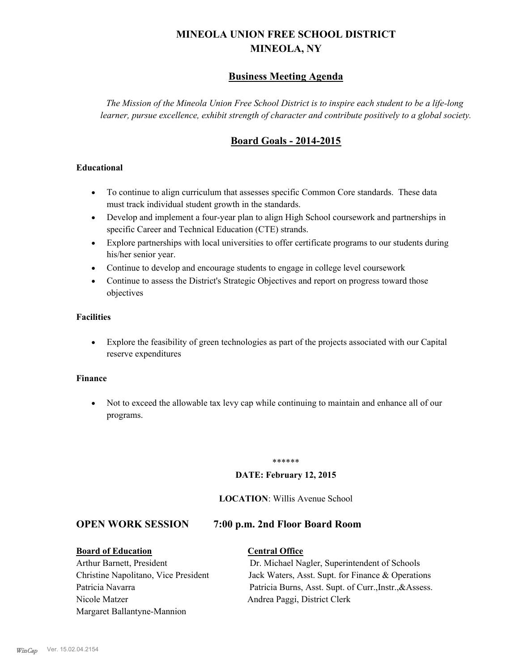# **MINEOLA UNION FREE SCHOOL DISTRICT MINEOLA, NY**

## **Business Meeting Agenda**

*The Mission of the Mineola Union Free School District is to inspire each student to be a life-long learner, pursue excellence, exhibit strength of character and contribute positively to a global society.*

## **Board Goals - 2014-2015**

#### **Educational**

- · To continue to align curriculum that assesses specific Common Core standards. These data must track individual student growth in the standards.
- · Develop and implement a four-year plan to align High School coursework and partnerships in specific Career and Technical Education (CTE) strands.
- · Explore partnerships with local universities to offer certificate programs to our students during his/her senior year.
- · Continue to develop and encourage students to engage in college level coursework
- Continue to assess the District's Strategic Objectives and report on progress toward those objectives

#### **Facilities**

· Explore the feasibility of green technologies as part of the projects associated with our Capital reserve expenditures

#### **Finance**

· Not to exceed the allowable tax levy cap while continuing to maintain and enhance all of our programs.

#### \*\*\*\*\*\*

#### **DATE: February 12, 2015**

#### **LOCATION**: Willis Avenue School

### **OPEN WORK SESSION 7:00 p.m. 2nd Floor Board Room**

#### **Board of Education Central Office**

Nicole Matzer Andrea Paggi, District Clerk Margaret Ballantyne-Mannion

Arthur Barnett, President Dr. Michael Nagler, Superintendent of Schools Christine Napolitano, Vice President Jack Waters, Asst. Supt. for Finance & Operations Patricia Navarra Patricia Burns, Asst. Supt. of Curr., Instr., &Assess.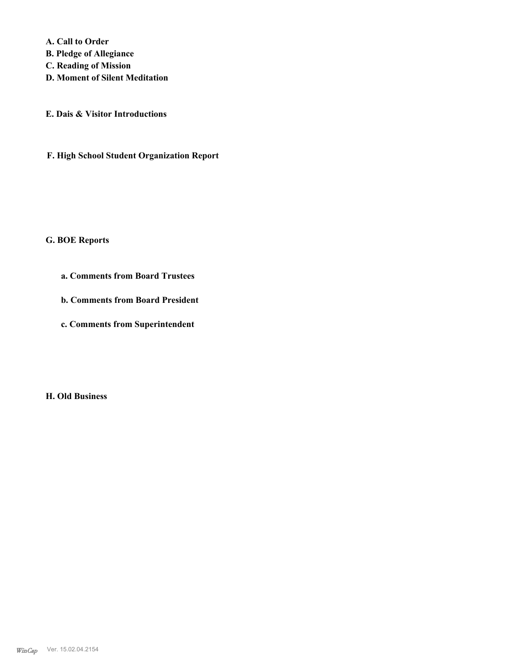**A. Call to Order B. Pledge of Allegiance C. Reading of Mission D. Moment of Silent Meditation**

**E. Dais & Visitor Introductions**

**F. High School Student Organization Report**

#### **G. BOE Reports**

- **a. Comments from Board Trustees**
- **b. Comments from Board President**
- **c. Comments from Superintendent**

**H. Old Business**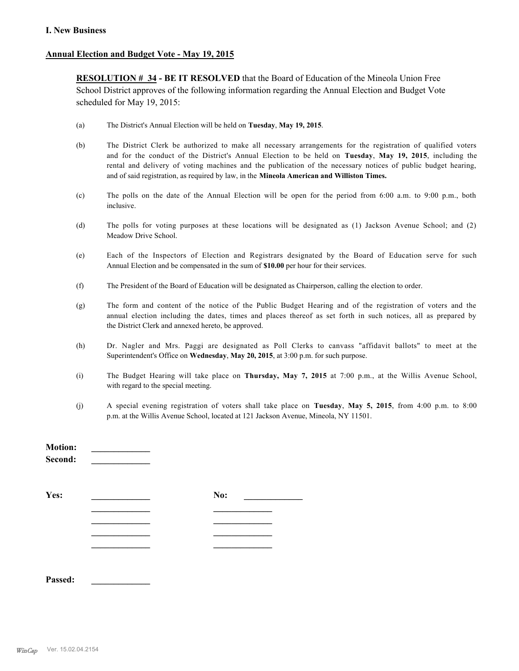#### **I. New Business**

#### **Annual Election and Budget Vote - May 19, 2015**

**RESOLUTION # 34 - BE IT RESOLVED** that the Board of Education of the Mineola Union Free School District approves of the following information regarding the Annual Election and Budget Vote scheduled for May 19, 2015:

- (a) The District's Annual Election will be held on **Tuesday**, **May 19, 2015**.
- (b) The District Clerk be authorized to make all necessary arrangements for the registration of qualified voters and for the conduct of the District's Annual Election to be held on **Tuesday**, **May 19, 2015**, including the rental and delivery of voting machines and the publication of the necessary notices of public budget hearing, and of said registration, as required by law, in the **Mineola American and Williston Times.**
- (c) The polls on the date of the Annual Election will be open for the period from 6:00 a.m. to 9:00 p.m., both inclusive.
- (d) The polls for voting purposes at these locations will be designated as (1) Jackson Avenue School; and (2) Meadow Drive School.
- (e) Each of the Inspectors of Election and Registrars designated by the Board of Education serve for such Annual Election and be compensated in the sum of **\$10.00** per hour for their services.
- (f) The President of the Board of Education will be designated as Chairperson, calling the election to order.
- (g) The form and content of the notice of the Public Budget Hearing and of the registration of voters and the annual election including the dates, times and places thereof as set forth in such notices, all as prepared by the District Clerk and annexed hereto, be approved.
- (h) Dr. Nagler and Mrs. Paggi are designated as Poll Clerks to canvass "affidavit ballots" to meet at the Superintendent's Office on **Wednesday**, **May 20, 2015**, at 3:00 p.m. for such purpose.
- (i) The Budget Hearing will take place on **Thursday, May 7, 2015** at 7:00 p.m., at the Willis Avenue School, with regard to the special meeting.
- (j) A special evening registration of voters shall take place on **Tuesday**, **May 5, 2015**, from 4:00 p.m. to 8:00 p.m. at the Willis Avenue School, located at 121 Jackson Avenue, Mineola, NY 11501.

| <b>Motion:</b><br>Second: |     |  |
|---------------------------|-----|--|
| Yes:                      | No: |  |
|                           |     |  |
|                           |     |  |
|                           |     |  |
|                           |     |  |
|                           |     |  |

**Passed: \_\_\_\_\_\_\_\_\_\_\_\_\_**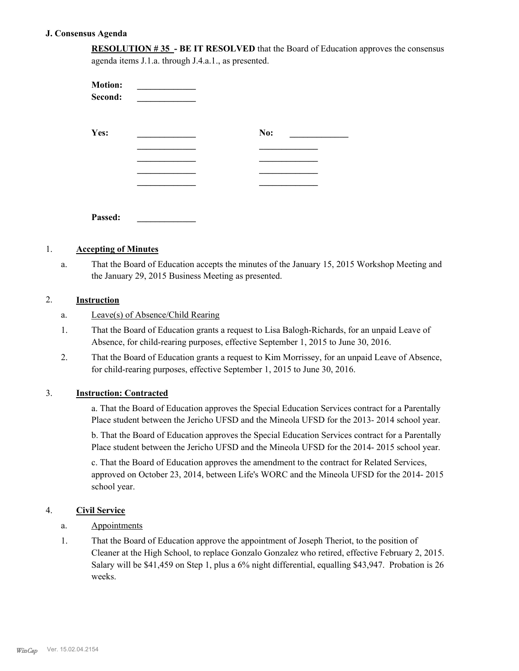#### **J. Consensus Agenda**

**RESOLUTION # 35 - BE IT RESOLVED** that the Board of Education approves the consensus agenda items J.1.a. through J.4.a.1., as presented.

| <b>Motion:</b><br>Second: |     |
|---------------------------|-----|
| Yes:                      | No: |
|                           |     |
|                           |     |
|                           |     |
| Passed:                   |     |

#### 1. **Accepting of Minutes**

That the Board of Education accepts the minutes of the January 15, 2015 Workshop Meeting and the January 29, 2015 Business Meeting as presented. a.

#### 2. **Instruction**

- a. Leave(s) of Absence/Child Rearing
- That the Board of Education grants a request to Lisa Balogh-Richards, for an unpaid Leave of Absence, for child-rearing purposes, effective September 1, 2015 to June 30, 2016. 1.
- That the Board of Education grants a request to Kim Morrissey, for an unpaid Leave of Absence, for child-rearing purposes, effective September 1, 2015 to June 30, 2016. 2.

#### 3. **Instruction: Contracted**

a. That the Board of Education approves the Special Education Services contract for a Parentally Place student between the Jericho UFSD and the Mineola UFSD for the 2013- 2014 school year.

b. That the Board of Education approves the Special Education Services contract for a Parentally Place student between the Jericho UFSD and the Mineola UFSD for the 2014- 2015 school year.

c. That the Board of Education approves the amendment to the contract for Related Services, approved on October 23, 2014, between Life's WORC and the Mineola UFSD for the 2014- 2015 school year.

#### 4. **Civil Service**

- a. Appointments
- That the Board of Education approve the appointment of Joseph Theriot, to the position of Cleaner at the High School, to replace Gonzalo Gonzalez who retired, effective February 2, 2015. Salary will be \$41,459 on Step 1, plus a 6% night differential, equalling \$43,947. Probation is 26 weeks. 1.